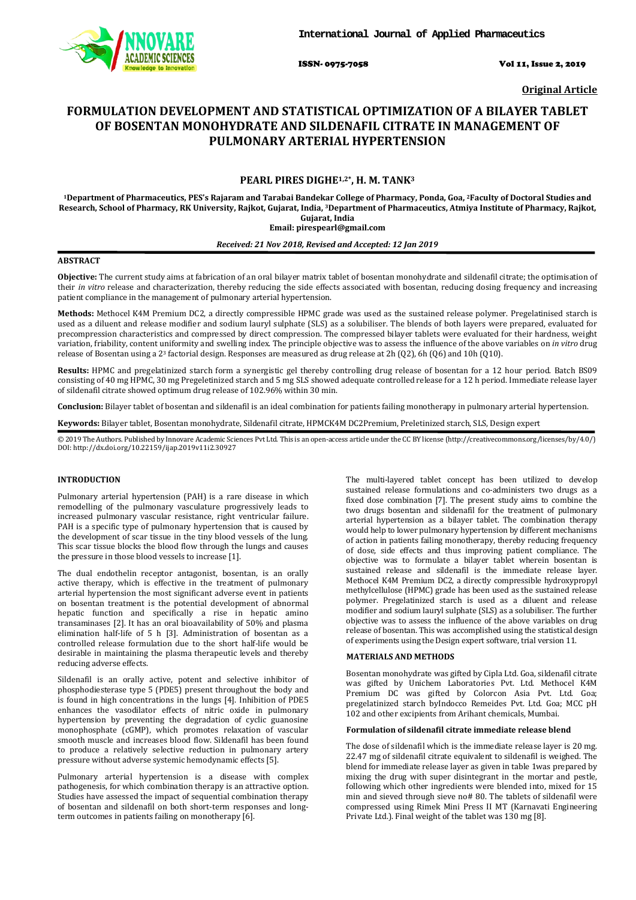

ISSN- 0975-7058 Vol 11, Issue 2, 2019

**Original Article**

# **FORMULATION DEVELOPMENT AND STATISTICAL OPTIMIZATION OF A BILAYER TABLET OF BOSENTAN MONOHYDRATE AND SILDENAFIL CITRATE IN MANAGEMENT OF PULMONARY ARTERIAL HYPERTENSION**

# **PEARL PIRES DIGHE1,2\*, H. M. TANK3**

**1Department of Pharmaceutics, PES's Rajaram and Tarabai Bandekar College of Pharmacy, Ponda, Goa, 2Faculty of Doctoral Studies and Research, School of Pharmacy, RK University, Rajkot, Gujarat, India, 3 Department of Pharmaceutics, Atmiya Institute of Pharmacy, Rajkot, Gujarat, India Email: pirespearl@gmail.com**

# *Received: 21 Nov 2018, Revised and Accepted: 12 Jan 2019*

### **ABSTRACT**

**Objective:** The current study aims at fabrication of an oral bilayer matrix tablet of bosentan monohydrate and sildenafil citrate; the optimisation of their *in vitro* release and characterization, thereby reducing the side effects associated with bosentan, reducing dosing frequency and increasing patient compliance in the management of pulmonary arterial hypertension.

**Methods:** Methocel K4M Premium DC2, a directly compressible HPMC grade was used as the sustained release polymer. Pregelatinised starch is used as a diluent and release modifier and sodium lauryl sulphate (SLS) as a solubiliser. The blends of both layers were prepared, evaluated for precompression characteristics and compressed by direct compression. The compressed bilayer tablets were evaluated for their hardness, weight variation, friability, content uniformity and swelling index. The principle objective was to assess the influence of the above variables on *in vitro* drug release of Bosentan using a 2<sup>3</sup> factorial design. Responses are measured as drug release at 2h (Q2), 6h (Q6) and 10h (Q10).

**Results:** HPMC and pregelatinized starch form a synergistic gel thereby controlling drug release of bosentan for a 12 hour period. Batch BS09 consisting of 40 mg HPMC, 30 mg Pregeletinized starch and 5 mg SLS showed adequate controlled release for a 12 h period. Immediate release layer of sildenafil citrate showed optimum drug release of 102.96% within 30 min.

**Conclusion:** Bilayer tablet of bosentan and sildenafil is an ideal combination for patients failing monotherapy in pulmonary arterial hypertension.

**Keywords:** Bilayer tablet, Bosentan monohydrate, Sildenafil citrate, HPMCK4M DC2Premium, Preletinized starch, SLS, Design expert

© 2019 The Authors. Published by Innovare Academic Sciences Pvt Ltd. This is an open-access article under the CC BY license [\(http://creativecommons.org/licenses/by/4.0/\)](http://creativecommons.org/licenses/by/4.0/) DOI: http://dx.doi.org/10.22159/ijap.2019v11i2.30927

# **INTRODUCTION**

Pulmonary arterial hypertension (PAH) is a rare disease in which remodelling of the pulmonary vasculature progressively leads to increased pulmonary vascular resistance, right ventricular failure. PAH is a specific type of pulmonary hypertension that is caused by the development of scar tissue in the tiny blood vessels of the lung. This scar tissue blocks the blood flow through the lungs and causes the pressure in those blood vessels to increase [1].

The dual endothelin receptor antagonist, bosentan, is an orally active therapy, which is effective in the treatment of pulmonary arterial hypertension the most significant adverse event in patients on bosentan treatment is the potential development of abnormal hepatic function and specifically a rise in hepatic amino transaminases [2]. It has an oral bioavailability of 50% and plasma elimination half-life of 5 h [3]. Administration of bosentan as a controlled release formulation due to the short half-life would be desirable in maintaining the plasma therapeutic levels and thereby reducing adverse effects.

Sildenafil is an orally active, potent and selective inhibitor of phosphodiesterase type 5 (PDE5) present throughout the body and is found in high concentrations in the lungs [4]. Inhibition of PDE5 enhances the vasodilator effects of nitric oxide in pulmonary hypertension by preventing the degradation of cyclic guanosine monophosphate (cGMP), which promotes relaxation of vascular smooth muscle and increases blood flow. Sildenafil has been found to produce a relatively selective reduction in pulmonary artery pressure without adverse systemic hemodynamic effects [5].

Pulmonary arterial hypertension is a disease with complex pathogenesis, for which combination therapy is an attractive option. Studies have assessed the impact of sequential combination therapy of bosentan and sildenafil on both short-term responses and longterm outcomes in patients failing on monotherapy [6].

The multi-layered tablet concept has been utilized to develop sustained release formulations and co-administers two drugs as a fixed dose combination [7]. The present study aims to combine the two drugs bosentan and sildenafil for the treatment of pulmonary arterial hypertension as a bilayer tablet. The combination therapy would help to lower pulmonary hypertension by different mechanisms of action in patients failing monotherapy, thereby reducing frequency of dose, side effects and thus improving patient compliance. The objective was to formulate a bilayer tablet wherein bosentan is sustained release and sildenafil is the immediate release layer. Methocel K4M Premium DC2, a directly compressible hydroxypropyl methylcellulose (HPMC) grade has been used as the sustained release polymer. Pregelatinized starch is used as a diluent and release modifier and sodium lauryl sulphate (SLS) as a solubiliser. The further objective was to assess the influence of the above variables on drug release of bosentan. This was accomplished using the statistical design of experiments using the Design expert software, trial version 11.

#### **MATERIALS AND METHODS**

Bosentan monohydrate was gifted by Cipla Ltd. Goa, sildenafil citrate was gifted by Unichem Laboratories Pvt. Ltd. Methocel K4M Premium DC was gifted by Colorcon Asia Pvt. Ltd. Goa; pregelatinized starch byIndocco Remeides Pvt. Ltd. Goa; MCC pH 102 and other excipients from Arihant chemicals, Mumbai.

# **Formulation of sildenafil citrate immediate release blend**

The dose of sildenafil which is the immediate release layer is 20 mg. 22.47 mg of sildenafil citrate equivalent to sildenafil is weighed. The blend for immediate release layer as given in table 1was prepared by mixing the drug with super disintegrant in the mortar and pestle, following which other ingredients were blended into, mixed for 15 min and sieved through sieve no# 80. The tablets of sildenafil were compressed using Rimek Mini Press II MT (Karnavati Engineering Private Ltd.). Final weight of the tablet was 130 mg [8].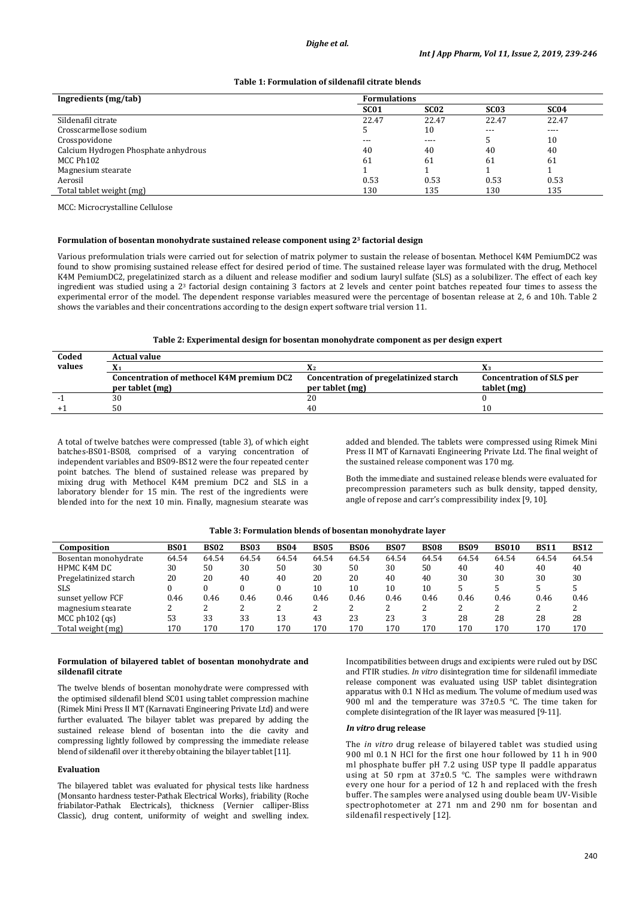# **Table 1: Formulation of sildenafil citrate blends**

| Ingredients (mg/tab)                 | <b>Formulations</b> |                  |                  |                  |
|--------------------------------------|---------------------|------------------|------------------|------------------|
|                                      | SC <sub>01</sub>    | SC <sub>02</sub> | SC <sub>03</sub> | SC <sub>04</sub> |
| Sildenafil citrate                   | 22.47               | 22.47            | 22.47            | 22.47            |
| Crosscarmellose sodium               | 5                   | 10               | $---$            | $---$            |
| Crosspovidone                        | $---$               | $---$            |                  | 10               |
| Calcium Hydrogen Phosphate anhydrous | 40                  | 40               | 40               | 40               |
| MCC Ph102                            | 61                  | 61               | 61               | 61               |
| Magnesium stearate                   |                     |                  |                  |                  |
| Aerosil                              | 0.53                | 0.53             | 0.53             | 0.53             |
| Total tablet weight (mg)             | 130                 | 135              | 130              | 135              |

MCC: Microcrystalline Cellulose

# **Formulation of bosentan monohydrate sustained release component using 23 factorial design**

Various preformulation trials were carried out for selection of matrix polymer to sustain the release of bosentan. Methocel K4M PemiumDC2 was found to show promising sustained release effect for desired period of time. The sustained release layer was formulated with the drug, Methocel K4M PemiumDC2, pregelatinized starch as a diluent and release modifier and sodium lauryl sulfate (SLS) as a solubilizer. The effect of each key ingredient was studied using a 2<sup>3</sup> factorial design containing 3 factors at 2 levels and center point batches repeated four times to assess the experimental error of the model. The dependent response variables measured were the percentage of bosentan release at 2, 6 and 10h. Table 2 shows the variables and their concentrations according to the design expert software trial version 11.

### **Table 2: Experimental design for bosentan monohydrate component as per design expert**

| Coded  | <b>Actual value</b>                       |                                        |                                 |
|--------|-------------------------------------------|----------------------------------------|---------------------------------|
| values |                                           |                                        |                                 |
|        | Concentration of methocel K4M premium DC2 | Concentration of pregelatinized starch | <b>Concentration of SLS per</b> |
|        | per tablet (mg)                           | per tablet (mg)                        | tablet (mg)                     |
|        | 30                                        | 20                                     |                                 |
|        | 50                                        | 40                                     |                                 |

A total of twelve batches were compressed (table 3), of which eight batches-BS01-BS08, comprised of a varying concentration of independent variables and BS09-BS12 were the four repeated center point batches. The blend of sustained release was prepared by mixing drug with Methocel K4M premium DC2 and SLS in a laboratory blender for 15 min. The rest of the ingredients were blended into for the next 10 min. Finally, magnesium stearate was added and blended. The tablets were compressed using Rimek Mini Press II MT of Karnavati Engineering Private Ltd. The final weight of the sustained release component was 170 mg.

Both the immediate and sustained release blends were evaluated for precompression parameters such as bulk density, tapped density, angle of repose and carr's compressibility index [9, 10].

| Composition           | <b>BS01</b> | <b>BS02</b> | <b>BS03</b> | <b>BS04</b> | <b>BS05</b> | <b>BS06</b> | <b>BS07</b> | <b>BS08</b> | <b>BS09</b> | <b>BS010</b> | <b>BS11</b> | <b>BS12</b> |
|-----------------------|-------------|-------------|-------------|-------------|-------------|-------------|-------------|-------------|-------------|--------------|-------------|-------------|
| Bosentan monohydrate  | 64.54       | 64.54       | 64.54       | 64.54       | 64.54       | 64.54       | 64.54       | 64.54       | 64.54       | 64.54        | 64.54       | 64.54       |
| HPMC K4M DC           | 30          | 50          | 30          | 50          | 30          | 50          | 30          | 50          | 40          | 40           | 40          | 40          |
| Pregelatinized starch | 20          | 20          | 40          | 40          | 20          | 20          | 40          | 40          | 30          | 30           | 30          | 30          |
| <b>SLS</b>            |             |             |             |             | 10          | 10          | 10          | 10          |             |              |             |             |
| sunset yellow FCF     | 0.46        | 0.46        | 0.46        | 0.46        | 0.46        | 0.46        | 0.46        | 0.46        | 0.46        | 0.46         | 0.46        | 0.46        |
| magnesium stearate    |             |             |             |             |             | ∍<br>∠      |             |             |             | າ<br>∠       |             |             |
| $MCC$ ph $102$ (qs)   | 53          | 33          | 33          | 13          | 43          | 23          | 23          | ς           | 28          | 28           | 28          | 28          |
| Total weight (mg)     | 170         | 170         | 170         | 170         | 170         | 170         | 170         | 170         | 170         | 170          | 170         | 170         |

# **Table 3: Formulation blends of bosentan monohydrate layer**

# **Formulation of bilayered tablet of bosentan monohydrate and sildenafil citrate**

The twelve blends of bosentan monohydrate were compressed with the optimised sildenafil blend SC01 using tablet compression machine (Rimek Mini Press II MT (Karnavati Engineering Private Ltd) and were further evaluated. The bilayer tablet was prepared by adding the sustained release blend of bosentan into the die cavity and compressing lightly followed by compressing the immediate release blend of sildenafil over it thereby obtaining the bilayer tablet [11].

#### **Evaluation**

The bilayered tablet was evaluated for physical tests like hardness (Monsanto hardness tester-Pathak Electrical Works), friability (Roche friabilator-Pathak Electricals), thickness (Vernier calliper-Bliss Classic), drug content, uniformity of weight and swelling index.

Incompatibilities between drugs and excipients were ruled out by DSC and FTIR studies. *In vitro* disintegration time for sildenafil immediate release component was evaluated using USP tablet disintegration apparatus with 0.1 N Hcl as medium. The volume of medium used was 900 ml and the temperature was 37±0.5 °C. The time taken for complete disintegration of the IR layer was measured [9-11].

#### *In vitro* **drug release**

The *in vitro* drug release of bilayered tablet was studied using 900 ml 0.1 N HCl for the first one hour followed by 11 h in 900 ml phosphate buffer pH 7.2 using USP type II paddle apparatus using at 50 rpm at 37±0.5 °C. The samples were withdrawn every one hour for a period of 12 h and replaced with the fresh buffer. The samples were analysed using double beam UV-Visible spectrophotometer at 271 nm and 290 nm for bosentan and sildenafil respectively [12].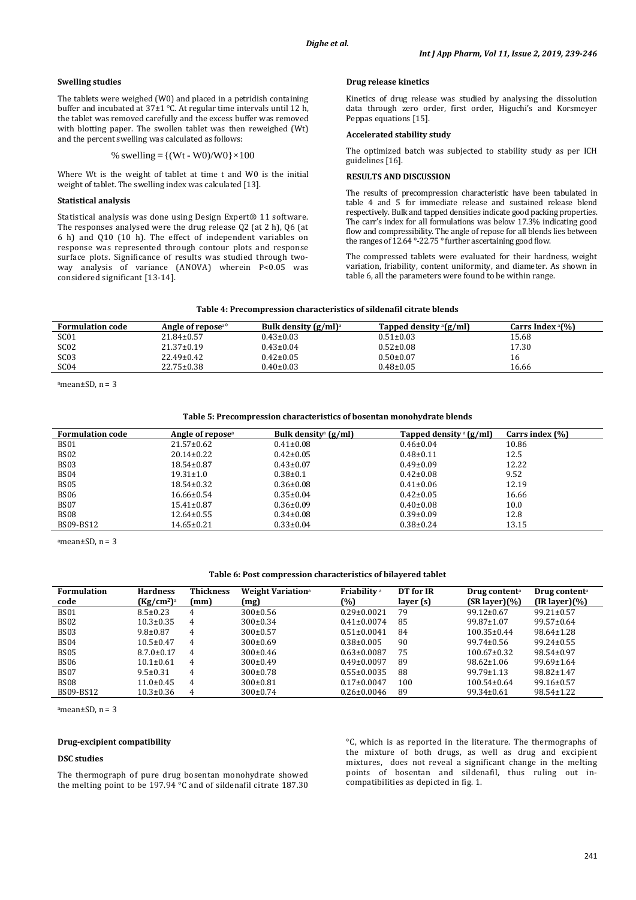## **Swelling studies**

The tablets were weighed (W0) and placed in a petridish containing buffer and incubated at 37±1 °C. At regular time intervals until 12 h, the tablet was removed carefully and the excess buffer was removed with blotting paper. The swollen tablet was then reweighed (Wt) and the percent swelling was calculated as follows:

#### % swelling =  $\{(Wt - W0)/W0\} \times 100$

Where Wt is the weight of tablet at time t and W0 is the initial weight of tablet. The swelling index was calculated [13].

### **Statistical analysis**

Statistical analysis was done using Design Expert® 11 software. The responses analysed were the drug release Q2 (at 2 h), Q6 (at 6 h) and Q10 (10 h). The effect of independent variables on response was represented through contour plots and response surface plots. Significance of results was studied through twoway analysis of variance (ANOVA) wherein P<0.05 was considered significant [13-14].

#### **Drug release kinetics**

Kinetics of drug release was studied by analysing the dissolution data through zero order, first order, Higuchi's and Korsmeyer Peppas equations [15].

### **Accelerated stability study**

The optimized batch was subjected to stability study as per ICH guidelines [16].

#### **RESULTS AND DISCUSSION**

The results of precompression characteristic have been tabulated in table 4 and 5 for immediate release and sustained release blend respectively. Bulk and tapped densities indicate good packing properties. The carr's index for all formulations was below 17.3% indicating good flow and compressibility. The angle of repose for all blends lies between the ranges of  $12.64$  °-22.75 ° further ascertaining good flow.

The compressed tablets were evaluated for their hardness, weight variation, friability, content uniformity, and diameter. As shown in table 6, all the parameters were found to be within range.

|  | Table 4: Precompression characteristics of sildenafil citrate blends |  |
|--|----------------------------------------------------------------------|--|
|  |                                                                      |  |

| <b>Formulation code</b> | Angle of repose <sup>ao</sup> | Bulk density $(g/ml)^a$ | Tapped density $\frac{a}{g}$ (g/ml) | Carrs Index $(% )$ |
|-------------------------|-------------------------------|-------------------------|-------------------------------------|--------------------|
| SC <sub>01</sub>        | $21.84 \pm 0.57$              | $0.43 \pm 0.03$         | $0.51 \pm 0.03$                     | 15.68              |
| SC <sub>02</sub>        | $21.37 \pm 0.19$              | $0.43 \pm 0.04$         | $0.52 \pm 0.08$                     | 17.30              |
| SC <sub>03</sub>        | $22.49 \pm 0.42$              | $0.42 \pm 0.05$         | $0.50 \pm 0.07$                     |                    |
| SC04                    | $22.75 \pm 0.38$              | $0.40 \pm 0.03$         | $0.48 \pm 0.05$                     | 16.66              |

amean $\pm$ SD, n = 3

### **Table 5: Precompression characteristics of bosentan monohydrate blends**

| <b>Formulation code</b> | Angle of repose <sup>a</sup> | Bulk density <sup>a</sup> $(g/ml)$ | Tapped density $\alpha$ (g/ml) | Carrs index $(\%)$ |
|-------------------------|------------------------------|------------------------------------|--------------------------------|--------------------|
| <b>BS01</b>             | $21.57 \pm 0.62$             | $0.41 \pm 0.08$                    | $0.46 \pm 0.04$                | 10.86              |
| BS02                    | $20.14 \pm 0.22$             | $0.42 \pm 0.05$                    | $0.48 \pm 0.11$                | 12.5               |
| BS03                    | $18.54 \pm 0.87$             | $0.43 \pm 0.07$                    | $0.49 \pm 0.09$                | 12.22              |
| <b>BS04</b>             | $19.31 \pm 1.0$              | $0.38 \pm 0.1$                     | $0.42 \pm 0.08$                | 9.52               |
| <b>BS05</b>             | $18.54 \pm 0.32$             | $0.36 \pm 0.08$                    | $0.41 \pm 0.06$                | 12.19              |
| BS06                    | $16.66 \pm 0.54$             | $0.35 \pm 0.04$                    | $0.42 \pm 0.05$                | 16.66              |
| BS07                    | $15.41 \pm 0.87$             | $0.36 \pm 0.09$                    | $0.40 \pm 0.08$                | 10.0               |
| BS08                    | $12.64 \pm 0.55$             | $0.34 \pm 0.08$                    | $0.39 \pm 0.09$                | 12.8               |
| BS09-BS12               | $14.65 \pm 0.21$             | $0.33 \pm 0.04$                    | $0.38 \pm 0.24$                | 13.15              |

amean±SD, n = 3

#### **Table 6: Post compression characteristics of bilayered tablet**

| <b>Formulation</b><br>code | <b>Hardness</b><br>(Kg/cm <sup>2</sup> ) <sup>a</sup> | <b>Thickness</b><br>(mm) | <b>Weight Variation</b> <sup>a</sup><br>(mg) | Friability <sup>a</sup><br>(%) | DT for IR<br>layer (s) | Drug content <sup>a</sup><br>$(SR layer)(\%)$ | Drug content <sup>a</sup><br>$(IR layer)(\%)$ |
|----------------------------|-------------------------------------------------------|--------------------------|----------------------------------------------|--------------------------------|------------------------|-----------------------------------------------|-----------------------------------------------|
| <b>BS01</b>                | $8.5 \pm 0.23$                                        | 4                        | $300\pm0.56$                                 | $0.29 \pm 0.0021$              | 79                     | $99.12 \pm 0.67$                              | $99.21 \pm 0.57$                              |
| BS <sub>02</sub>           | $10.3 \pm 0.35$                                       | 4                        | $300 \pm 0.34$                               | $0.41 \pm 0.0074$              | 85                     | $99.87 \pm 1.07$                              | $99.57 \pm 0.64$                              |
| <b>BS03</b>                | $9.8 \pm 0.87$                                        | 4                        | $300\pm0.57$                                 | $0.51 \pm 0.0041$              | 84                     | $100.35 \pm 0.44$                             | $98.64 \pm 1.28$                              |
| <b>BS04</b>                | $10.5 \pm 0.47$                                       | 4                        | $300\pm0.69$                                 | $0.38 \pm 0.005$               | 90                     | $99.74 \pm 0.56$                              | $99.24 \pm 0.55$                              |
| <b>BS05</b>                | $8.7.0 \pm 0.17$                                      | 4                        | $300\pm0.46$                                 | $0.63 \pm 0.0087$              | 75                     | $100.67 \pm 0.32$                             | 98.54±0.97                                    |
| <b>BS06</b>                | $10.1 \pm 0.61$                                       | 4                        | $300 \pm 0.49$                               | $0.49 \pm 0.0097$              | 89                     | $98.62 \pm 1.06$                              | $99.69 \pm 1.64$                              |
| <b>BS07</b>                | $9.5 \pm 0.31$                                        | 4                        | $300\pm0.78$                                 | $0.55 \pm 0.0035$              | 88                     | $99.79 \pm 1.13$                              | 98.82±1.47                                    |
| <b>BS08</b>                | $11.0\pm0.45$                                         | 4                        | $300 \pm 0.81$                               | $0.17 \pm 0.0047$              | 100                    | $100.54 \pm 0.64$                             | $99.16 \pm 0.57$                              |
| BS09-BS12                  | $10.3 \pm 0.36$                                       | 4                        | $300 \pm 0.74$                               | $0.26 \pm 0.0046$              | 89                     | 99.34±0.61                                    | $98.54 \pm 1.22$                              |

a mean±SD, n = 3

### **Drug-excipient compatibility**

### **DSC studies**

The thermograph of pure drug bosentan monohydrate showed the melting point to be 197.94 °C and of sildenafil citrate 187.30

°C, which is as reported in the literature. The thermographs of the mixture of both drugs, as well as drug and excipient mixtures, does not reveal a significant change in the melting points of bosentan and sildenafil, thus ruling out incompatibilities as depicted in fig. 1.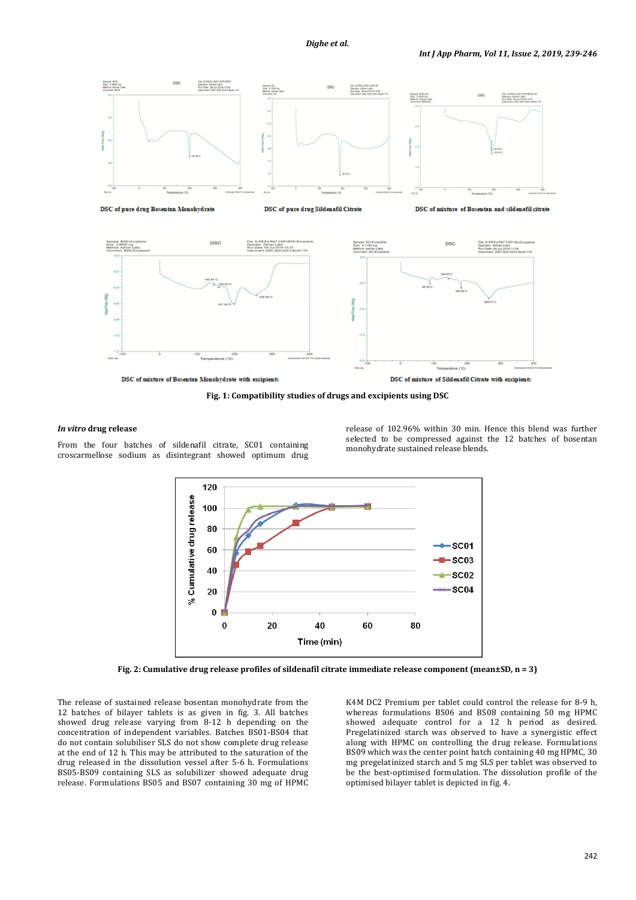

DSC of mixture of Bosentan Monohydrate with excipients

DSC of mixture of Sildenafil Citrate with excipients

**Fig. 1: Compatibility studies of drugs and excipients using DSC**

# *In vitro* **drug release**

From the four batches of sildenafil citrate, SC01 containing croscarmellose sodium as disintegrant showed optimum drug release of 102.96% within 30 min. Hence this blend was further selected to be compressed against the 12 batches of bosentan monohydrate sustained release blends.



**Fig. 2: Cumulative drug release profiles of sildenafil citrate immediate release component (mean±SD, n = 3)**

The release of sustained release bosentan monohydrate from the 12 batches of bilayer tablets is as given in fig. 3. All batches showed drug release varying from 8-12 h depending on the concentration of independent variables. Batches BS01-BS04 that do not contain solubiliser SLS do not show complete drug release at the end of 12 h. This may be attributed to the saturation of the drug released in the dissolution vessel after 5-6 h. Formulations BS05-BS09 containing SLS as solubilizer showed adequate drug release. Formulations BS05 and BS07 containing 30 mg of HPMC

K4M DC2 Premium per tablet could control the release for 8-9 h, whereas formulations BS06 and BS08 containing 50 mg HPMC showed adequate control for a 12 h period as desired. Pregelatinized starch was observed to have a synergistic effect along with HPMC on controlling the drug release. Formulations BS09 which was the center point batch containing 40 mg HPMC, 30 mg pregelatinized starch and 5 mg SLS per tablet was observed to be the best-optimised formulation. The dissolution profile of the optimised bilayer tablet is depicted in fig. 4.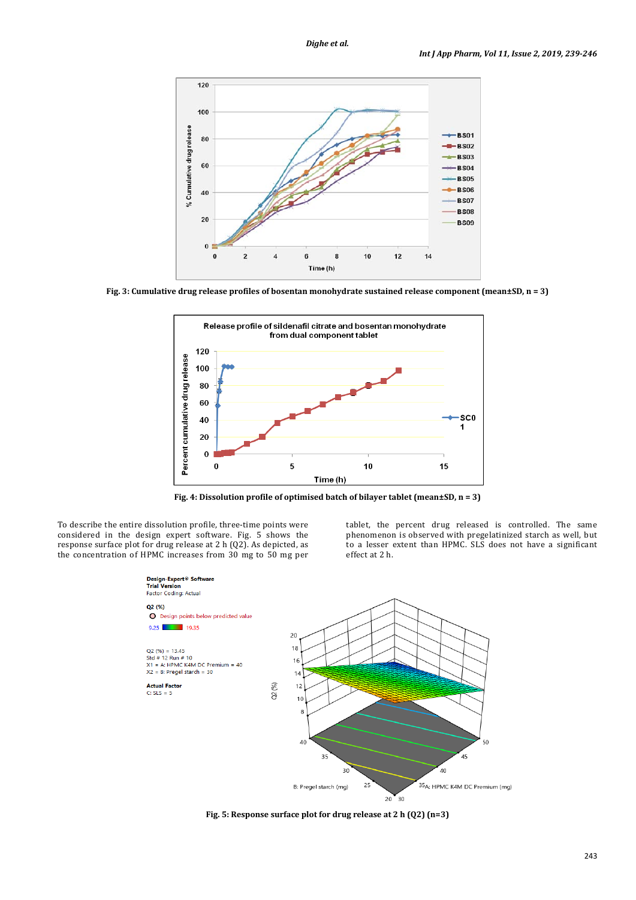

**Fig. 3: Cumulative drug release profiles of bosentan monohydrate sustained release component (mean±SD, n = 3)**



**Fig. 4: Dissolution profile of optimised batch of bilayer tablet (mean±SD, n = 3)**

To describe the entire dissolution profile, three-time points were considered in the design expert software. Fig. 5 shows the response surface plot for drug release at 2 h (Q2). As depicted, as the concentration of HPMC increases from 30 mg to 50 mg per tablet, the percent drug released is controlled. The same phenomenon is observed with pregelatinized starch as well, but to a lesser extent than HPMC. SLS does not have a significant effect at 2 h.



**Fig. 5: Response surface plot for drug release at 2 h (Q2) (n=3)**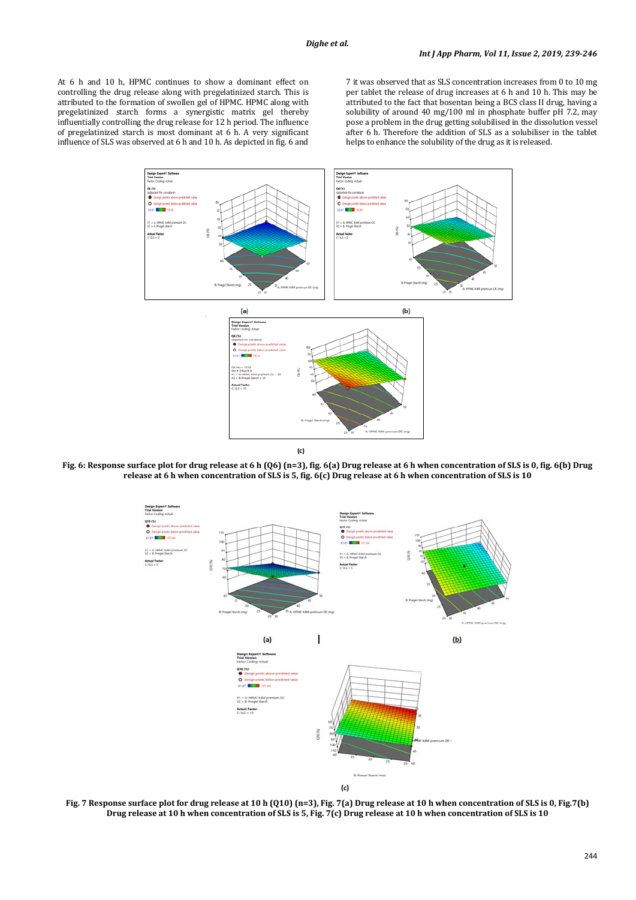At 6 h and 10 h, HPMC continues to show a dominant effect on controlling the drug release along with pregelatinized starch. This is attributed to the formation of swollen gel of HPMC. HPMC along with pregelatinized starch forms a synergistic matrix gel thereby influentially controlling the drug release for 12 h period. The influence of pregelatinized starch is most dominant at 6 h. A very significant influence of SLS was observed at 6 h and 10 h. As depicted in fig. 6 and 7 it was observed that as SLS concentration increases from 0 to 10 mg per tablet the release of drug increases at 6 h and 10 h. This may be attributed to the fact that bosentan being a BCS class II drug, having a solubility of around 40 mg/100 ml in phosphate buffer pH 7.2, may pose a problem in the drug getting solubilised in the dissolution vessel after 6 h. Therefore the addition of SLS as a solubiliser in the tablet helps to enhance the solubility of the drug as it is released.



**Fig. 6: Response surface plot for drug release at 6 h (Q6) (n=3), fig. 6(a) Drug release at 6 h when concentration of SLS is 0, fig. 6(b) Drug release at 6 h when concentration of SLS is 5, fig. 6(c) Drug release at 6 h when concentration of SLS is 10**



**Fig. 7 Response surface plot for drug release at 10 h (Q10) (n=3), Fig. 7(a) Drug release at 10 h when concentration of SLS is 0, Fig.7(b) Drug release at 10 h when concentration of SLS is 5, Fig. 7(c) Drug release at 10 h when concentration of SLS is 10**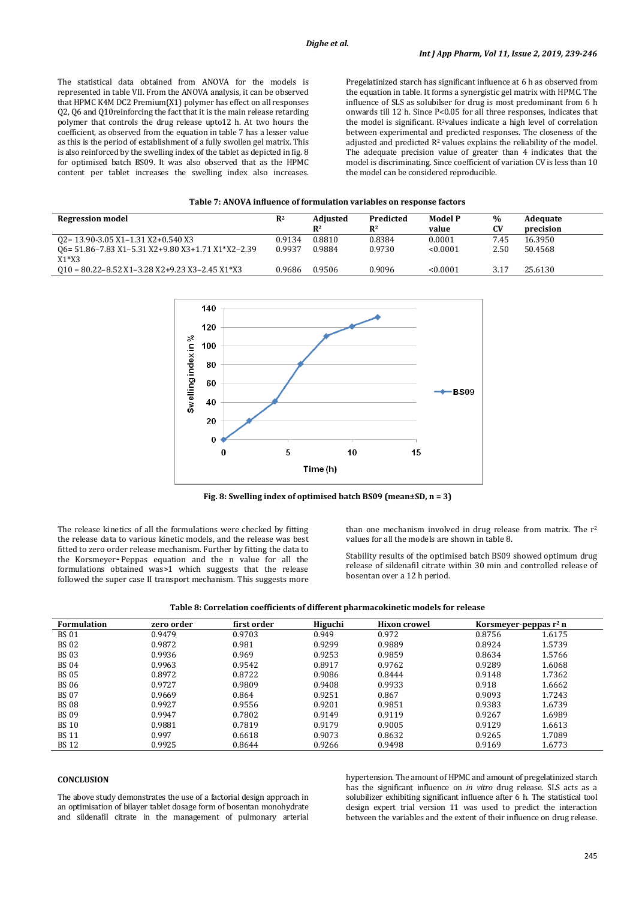The statistical data obtained from ANOVA for the models is represented in table VII. From the ANOVA analysis, it can be observed that HPMC K4M DC2 Premium(X1) polymer has effect on all responses Q2, Q6 and Q10reinforcing the fact that it is the main release retarding polymer that controls the drug release upto12 h. At two hours the coefficient, as observed from the equation in table 7 has a lesser value as this is the period of establishment of a fully swollen gel matrix. This is also reinforced by the swelling index of the tablet as depicted in fig. 8 for optimised batch BS09. It was also observed that as the HPMC content per tablet increases the swelling index also increases. Pregelatinized starch has significant influence at 6 h as observed from the equation in table. It forms a synergistic gel matrix with HPMC. The influence of SLS as solubilser for drug is most predominant from 6 h onwards till 12 h. Since P<0.05 for all three responses, indicates that the model is significant. R<sup>2</sup>values indicate a high level of correlation between experimental and predicted responses. The closeness of the adjusted and predicted  $R^2$  values explains the reliability of the model. The adequate precision value of greater than 4 indicates that the model is discriminating. Since coefficient of variation CV is less than 10 the model can be considered reproducible.

#### **Table 7: ANOVA influence of formulation variables on response factors**

| <b>Regression model</b>                                    | $\mathbb{R}^2$ | <b>Adjusted</b><br>$\mathbb{R}^2$ | Predicted<br>$\mathbf{R}^2$ | <b>Model P</b><br>value | %<br><b>CV</b> | Adequate<br>precision |
|------------------------------------------------------------|----------------|-----------------------------------|-----------------------------|-------------------------|----------------|-----------------------|
| 02=13.90-3.05 X1-1.31 X2+0.540 X3                          | 0.9134         | 0.8810                            | 0.8384                      | 0.0001                  | 7.45           | 16.3950               |
| 06= 51.86-7.83 X1-5.31 X2+9.80 X3+1.71 X1*X2-2.39          | 0.9937         | 0.9884                            | 0.9730                      | < 0.0001                | 2.50           | 50.4568               |
| $X1*X3$                                                    |                |                                   |                             |                         |                |                       |
| $010 = 80.22 - 8.52 X1 - 3.28 X2 + 9.23 X3 - 2.45 X1 * X3$ | 0.9686         | 0.9506                            | 0.9096                      | < 0.0001                | 3.17           | 25.6130               |



**Fig. 8: Swelling index of optimised batch BS09 (mean±SD, n = 3)**

The release kinetics of all the formulations were checked by fitting the release data to various kinetic models, and the release was best fitted to zero order release mechanism. Further by fitting the data to the Korsmeyer‑ Peppas equation and the n value for all the formulations obtained was>1 which suggests that the release followed the super case II transport mechanism. This suggests more than one mechanism involved in drug release from matrix. The  $r^2$ values for all the models are shown in table 8.

Stability results of the optimised batch BS09 showed optimum drug release of sildenafil citrate within 30 min and controlled release of bosentan over a 12 h period.

| <b>Formulation</b> | zero order | first order | Higuchi | <b>Hixon crowel</b> |        | Korsmeyer-peppas $r^2$ n |
|--------------------|------------|-------------|---------|---------------------|--------|--------------------------|
| <b>BS01</b>        | 0.9479     | 0.9703      | 0.949   | 0.972               | 0.8756 | 1.6175                   |
| <b>BS02</b>        | 0.9872     | 0.981       | 0.9299  | 0.9889              | 0.8924 | 1.5739                   |
| <b>BS03</b>        | 0.9936     | 0.969       | 0.9253  | 0.9859              | 0.8634 | 1.5766                   |
| <b>BS04</b>        | 0.9963     | 0.9542      | 0.8917  | 0.9762              | 0.9289 | 1.6068                   |
| <b>BS 05</b>       | 0.8972     | 0.8722      | 0.9086  | 0.8444              | 0.9148 | 1.7362                   |
| <b>BS06</b>        | 0.9727     | 0.9809      | 0.9408  | 0.9933              | 0.918  | 1.6662                   |
| <b>BS 07</b>       | 0.9669     | 0.864       | 0.9251  | 0.867               | 0.9093 | 1.7243                   |
| <b>BS08</b>        | 0.9927     | 0.9556      | 0.9201  | 0.9851              | 0.9383 | 1.6739                   |
| <b>BS09</b>        | 0.9947     | 0.7802      | 0.9149  | 0.9119              | 0.9267 | 1.6989                   |
| <b>BS 10</b>       | 0.9881     | 0.7819      | 0.9179  | 0.9005              | 0.9129 | 1.6613                   |
| <b>BS 11</b>       | 0.997      | 0.6618      | 0.9073  | 0.8632              | 0.9265 | 1.7089                   |
| <b>BS12</b>        | 0.9925     | 0.8644      | 0.9266  | 0.9498              | 0.9169 | 1.6773                   |

**Table 8: Correlation coefficients of different pharmacokinetic models for release**

# **CONCLUSION**

The above study demonstrates the use of a factorial design approach in an optimisation of bilayer tablet dosage form of bosentan monohydrate and sildenafil citrate in the management of pulmonary arterial hypertension. The amount of HPMC and amount of pregelatinized starch has the significant influence on *in vitro* drug release. SLS acts as a solubilizer exhibiting significant influence after 6 h. The statistical tool design expert trial version 11 was used to predict the interaction between the variables and the extent of their influence on drug release.